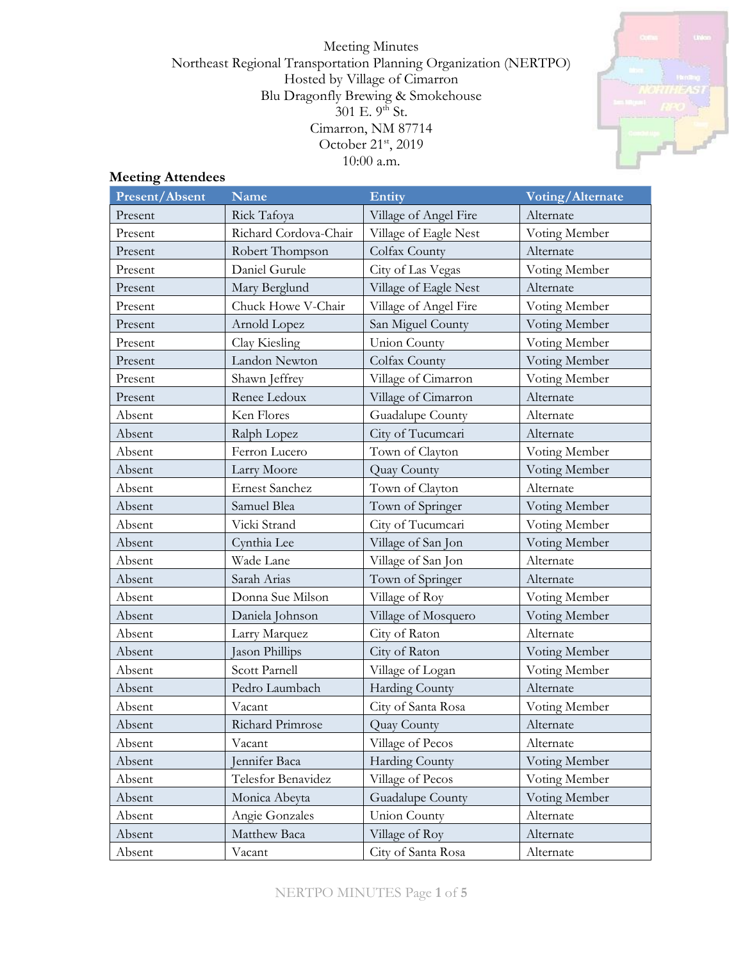Meeting Minutes Northeast Regional Transportation Planning Organization (NERTPO) Hosted by Village of Cimarron Blu Dragonfly Brewing & Smokehouse  $301$  E.  $9^{\text{th}}$  St. Cimarron, NM 87714 October 21<sup>st</sup>, 2019 10:00 a.m.



# **Meeting Attendees**

| <b>Present/Absent</b> | <b>Name</b>           | <b>Entity</b>         | Voting/Alternate |
|-----------------------|-----------------------|-----------------------|------------------|
| Present               | Rick Tafoya           | Village of Angel Fire | Alternate        |
| Present               | Richard Cordova-Chair | Village of Eagle Nest | Voting Member    |
| Present               | Robert Thompson       | Colfax County         | Alternate        |
| Present               | Daniel Gurule         | City of Las Vegas     | Voting Member    |
| Present               | Mary Berglund         | Village of Eagle Nest | Alternate        |
| Present               | Chuck Howe V-Chair    | Village of Angel Fire | Voting Member    |
| Present               | Arnold Lopez          | San Miguel County     | Voting Member    |
| Present               | Clay Kiesling         | <b>Union County</b>   | Voting Member    |
| Present               | Landon Newton         | Colfax County         | Voting Member    |
| Present               | Shawn Jeffrey         | Village of Cimarron   | Voting Member    |
| Present               | Renee Ledoux          | Village of Cimarron   | Alternate        |
| Absent                | Ken Flores            | Guadalupe County      | Alternate        |
| Absent                | Ralph Lopez           | City of Tucumcari     | Alternate        |
| Absent                | Ferron Lucero         | Town of Clayton       | Voting Member    |
| Absent                | Larry Moore           | Quay County           | Voting Member    |
| Absent                | <b>Ernest Sanchez</b> | Town of Clayton       | Alternate        |
| Absent                | Samuel Blea           | Town of Springer      | Voting Member    |
| Absent                | Vicki Strand          | City of Tucumcari     | Voting Member    |
| Absent                | Cynthia Lee           | Village of San Jon    | Voting Member    |
| Absent                | Wade Lane             | Village of San Jon    | Alternate        |
| Absent                | Sarah Arias           | Town of Springer      | Alternate        |
| Absent                | Donna Sue Milson      | Village of Roy        | Voting Member    |
| Absent                | Daniela Johnson       | Village of Mosquero   | Voting Member    |
| Absent                | Larry Marquez         | City of Raton         | Alternate        |
| Absent                | Jason Phillips        | City of Raton         | Voting Member    |
| Absent                | Scott Parnell         | Village of Logan      | Voting Member    |
| Absent                | Pedro Laumbach        | Harding County        | Alternate        |
| Absent                | Vacant                | City of Santa Rosa    | Voting Member    |
| Absent                | Richard Primrose      | Quay County           | Alternate        |
| Absent                | Vacant                | Village of Pecos      | Alternate        |
| Absent                | Jennifer Baca         | Harding County        | Voting Member    |
| Absent                | Telesfor Benavidez    | Village of Pecos      | Voting Member    |
| Absent                | Monica Abeyta         | Guadalupe County      | Voting Member    |
| Absent                | Angie Gonzales        | Union County          | Alternate        |
| Absent                | Matthew Baca          | Village of Roy        | Alternate        |
| Absent                | Vacant                | City of Santa Rosa    | Alternate        |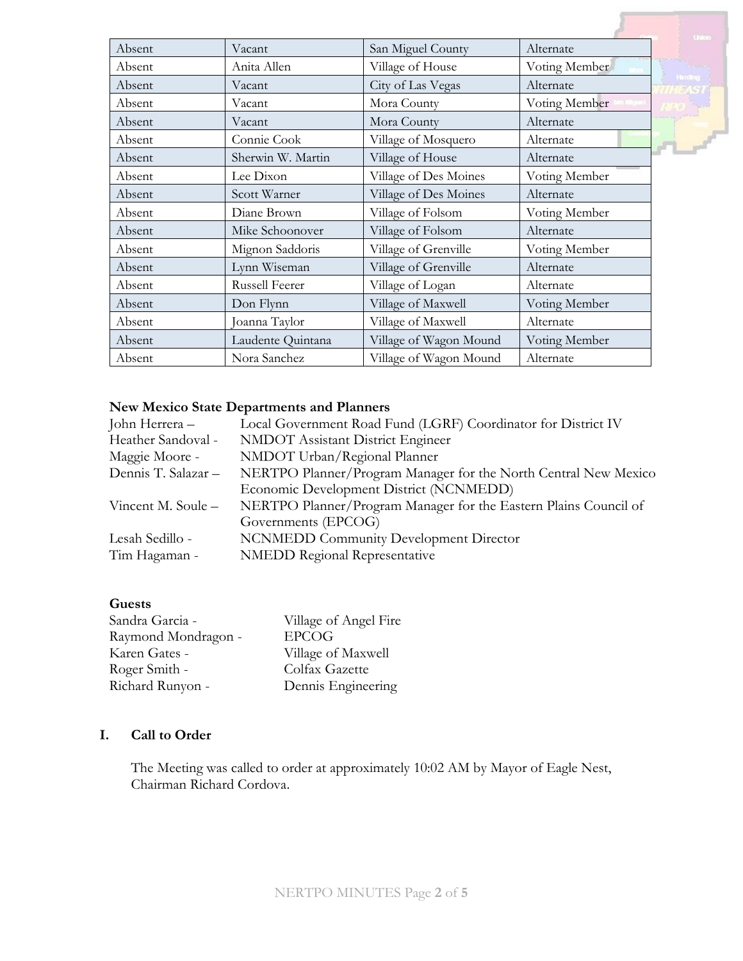|        |                       |                        |               | this                    |
|--------|-----------------------|------------------------|---------------|-------------------------|
| Absent | Vacant                | San Miguel County      | Alternate     |                         |
| Absent | Anita Allen           | Village of House       | Voting Member | <b>Card</b>             |
| Absent | Vacant                | City of Las Vegas      | Alternate     | <b>Thinking</b><br>1571 |
| Absent | Vacant                | Mora County            | Voting Member |                         |
| Absent | Vacant                | Mora County            | Alternate     |                         |
| Absent | Connie Cook           | Village of Mosquero    | Alternate     |                         |
| Absent | Sherwin W. Martin     | Village of House       | Alternate     |                         |
| Absent | Lee Dixon             | Village of Des Moines  | Voting Member |                         |
| Absent | Scott Warner          | Village of Des Moines  | Alternate     |                         |
| Absent | Diane Brown           | Village of Folsom      | Voting Member |                         |
| Absent | Mike Schoonover       | Village of Folsom      | Alternate     |                         |
| Absent | Mignon Saddoris       | Village of Grenville   | Voting Member |                         |
| Absent | Lynn Wiseman          | Village of Grenville   | Alternate     |                         |
| Absent | <b>Russell Feerer</b> | Village of Logan       | Alternate     |                         |
| Absent | Don Flynn             | Village of Maxwell     | Voting Member |                         |
| Absent | Joanna Taylor         | Village of Maxwell     | Alternate     |                         |
| Absent | Laudente Quintana     | Village of Wagon Mound | Voting Member |                         |
| Absent | Nora Sanchez          | Village of Wagon Mound | Alternate     |                         |

## **New Mexico State Departments and Planners**

| John Herrera -      | Local Government Road Fund (LGRF) Coordinator for District IV    |  |  |
|---------------------|------------------------------------------------------------------|--|--|
| Heather Sandoval -  | <b>NMDOT</b> Assistant District Engineer                         |  |  |
| Maggie Moore -      | NMDOT Urban/Regional Planner                                     |  |  |
| Dennis T. Salazar - | NERTPO Planner/Program Manager for the North Central New Mexico  |  |  |
|                     | Economic Development District (NCNMEDD)                          |  |  |
| Vincent M. Soule -  | NERTPO Planner/Program Manager for the Eastern Plains Council of |  |  |
|                     | Governments (EPCOG)                                              |  |  |
| Lesah Sedillo -     | <b>NCNMEDD Community Development Director</b>                    |  |  |
| Tim Hagaman -       | <b>NMEDD Regional Representative</b>                             |  |  |
|                     |                                                                  |  |  |

#### **Guests**

| Village of Angel Fire |
|-----------------------|
| <b>EPCOG</b>          |
| Village of Maxwell    |
| Colfax Gazette        |
| Dennis Engineering    |
|                       |

# **I. Call to Order**

The Meeting was called to order at approximately 10:02 AM by Mayor of Eagle Nest, Chairman Richard Cordova.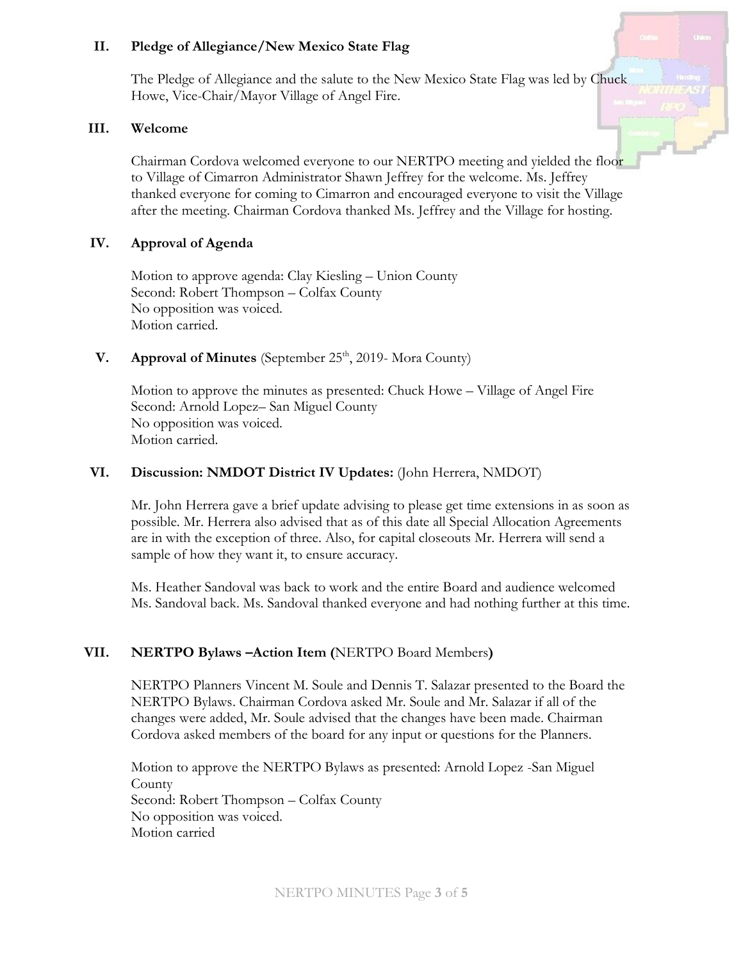#### **II. Pledge of Allegiance/New Mexico State Flag**

The Pledge of Allegiance and the salute to the New Mexico State Flag was led by Chuck Howe, Vice-Chair/Mayor Village of Angel Fire.

#### **III. Welcome**

Chairman Cordova welcomed everyone to our NERTPO meeting and yielded the floor to Village of Cimarron Administrator Shawn Jeffrey for the welcome. Ms. Jeffrey thanked everyone for coming to Cimarron and encouraged everyone to visit the Village after the meeting. Chairman Cordova thanked Ms. Jeffrey and the Village for hosting.

#### **IV. Approval of Agenda**

Motion to approve agenda: Clay Kiesling – Union County Second: Robert Thompson – Colfax County No opposition was voiced. Motion carried.

## **V. Approval of Minutes** (September 25<sup>th</sup>, 2019- Mora County)

Motion to approve the minutes as presented: Chuck Howe – Village of Angel Fire Second: Arnold Lopez– San Miguel County No opposition was voiced. Motion carried.

#### **VI. Discussion: NMDOT District IV Updates:** (John Herrera, NMDOT)

Mr. John Herrera gave a brief update advising to please get time extensions in as soon as possible. Mr. Herrera also advised that as of this date all Special Allocation Agreements are in with the exception of three. Also, for capital closeouts Mr. Herrera will send a sample of how they want it, to ensure accuracy.

Ms. Heather Sandoval was back to work and the entire Board and audience welcomed Ms. Sandoval back. Ms. Sandoval thanked everyone and had nothing further at this time.

#### **VII. NERTPO Bylaws –Action Item (**NERTPO Board Members**)**

NERTPO Planners Vincent M. Soule and Dennis T. Salazar presented to the Board the NERTPO Bylaws. Chairman Cordova asked Mr. Soule and Mr. Salazar if all of the changes were added, Mr. Soule advised that the changes have been made. Chairman Cordova asked members of the board for any input or questions for the Planners.

Motion to approve the NERTPO Bylaws as presented: Arnold Lopez -San Miguel **County** Second: Robert Thompson – Colfax County No opposition was voiced. Motion carried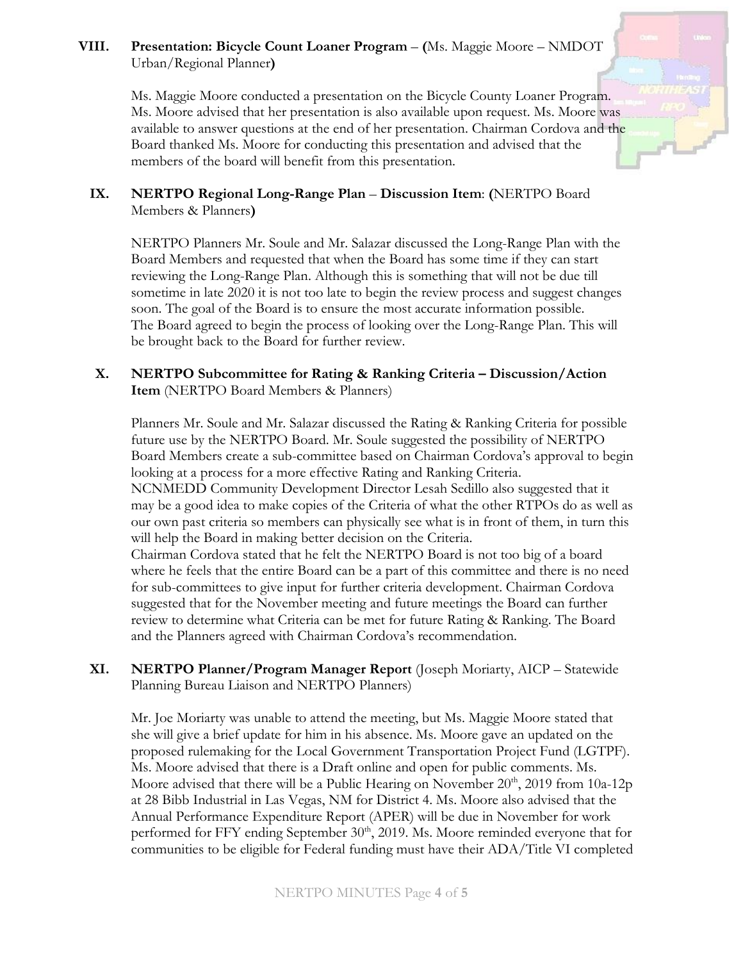# **VIII. Presentation: Bicycle Count Loaner Program** – **(**Ms. Maggie Moore – NMDOT Urban/Regional Planner**)**

Ms. Maggie Moore conducted a presentation on the Bicycle County Loaner Program. Ms. Moore advised that her presentation is also available upon request. Ms. Moore was available to answer questions at the end of her presentation. Chairman Cordova and the Board thanked Ms. Moore for conducting this presentation and advised that the members of the board will benefit from this presentation.

# **IX. NERTPO Regional Long-Range Plan** – **Discussion Item**: **(**NERTPO Board Members & Planners**)**

NERTPO Planners Mr. Soule and Mr. Salazar discussed the Long-Range Plan with the Board Members and requested that when the Board has some time if they can start reviewing the Long-Range Plan. Although this is something that will not be due till sometime in late 2020 it is not too late to begin the review process and suggest changes soon. The goal of the Board is to ensure the most accurate information possible. The Board agreed to begin the process of looking over the Long-Range Plan. This will be brought back to the Board for further review.

### **X. NERTPO Subcommittee for Rating & Ranking Criteria – Discussion/Action Item** (NERTPO Board Members & Planners)

Planners Mr. Soule and Mr. Salazar discussed the Rating & Ranking Criteria for possible future use by the NERTPO Board. Mr. Soule suggested the possibility of NERTPO Board Members create a sub-committee based on Chairman Cordova's approval to begin looking at a process for a more effective Rating and Ranking Criteria.

NCNMEDD Community Development Director Lesah Sedillo also suggested that it may be a good idea to make copies of the Criteria of what the other RTPOs do as well as our own past criteria so members can physically see what is in front of them, in turn this will help the Board in making better decision on the Criteria.

Chairman Cordova stated that he felt the NERTPO Board is not too big of a board where he feels that the entire Board can be a part of this committee and there is no need for sub-committees to give input for further criteria development. Chairman Cordova suggested that for the November meeting and future meetings the Board can further review to determine what Criteria can be met for future Rating & Ranking. The Board and the Planners agreed with Chairman Cordova's recommendation.

**XI. NERTPO Planner/Program Manager Report** (Joseph Moriarty, AICP – Statewide Planning Bureau Liaison and NERTPO Planners)

Mr. Joe Moriarty was unable to attend the meeting, but Ms. Maggie Moore stated that she will give a brief update for him in his absence. Ms. Moore gave an updated on the proposed rulemaking for the Local Government Transportation Project Fund (LGTPF). Ms. Moore advised that there is a Draft online and open for public comments. Ms. Moore advised that there will be a Public Hearing on November  $20^{th}$ , 2019 from 10a-12p at 28 Bibb Industrial in Las Vegas, NM for District 4. Ms. Moore also advised that the Annual Performance Expenditure Report (APER) will be due in November for work performed for FFY ending September 30<sup>th</sup>, 2019. Ms. Moore reminded everyone that for communities to be eligible for Federal funding must have their ADA/Title VI completed